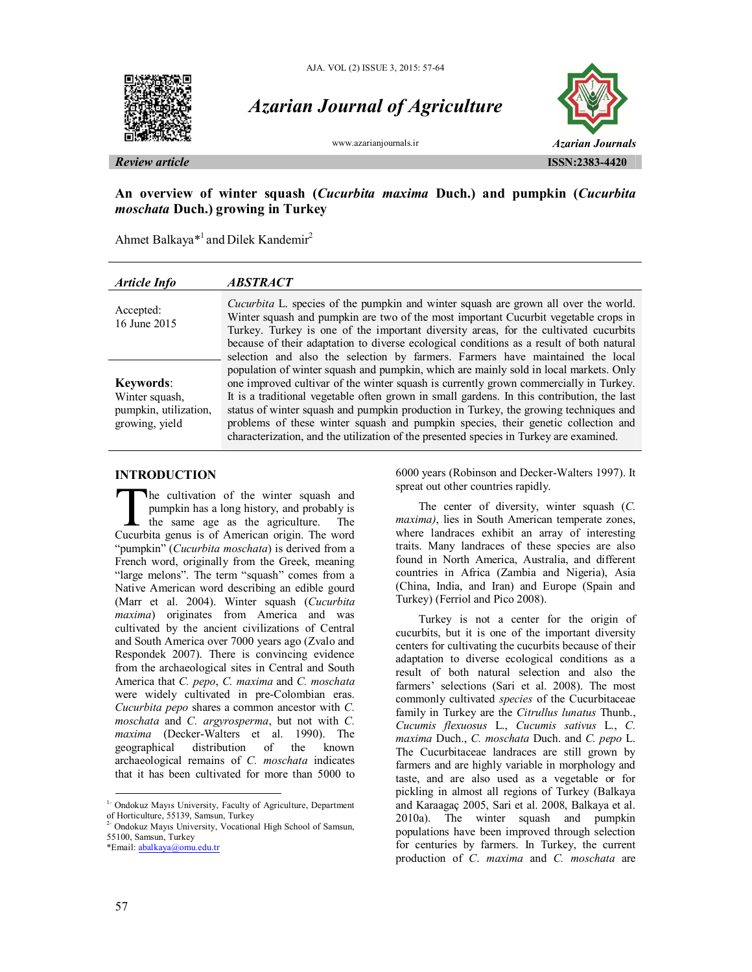



# *Azarian Journal of Agriculture*



**An overview of winter squash (***Cucurbita maxima* **Duch.) and pumpkin (***Cucurbita moschata* **Duch.) growing in Turkey**

Ahmet Balkaya<sup>\*1</sup> and Dilek Kandemir<sup>2</sup>

| Article Info                                                                  | <i><b>ABSTRACT</b></i>                                                                                                                                                                                                                                                                                                                                                                                                                                                                                                                                                                                                                |
|-------------------------------------------------------------------------------|---------------------------------------------------------------------------------------------------------------------------------------------------------------------------------------------------------------------------------------------------------------------------------------------------------------------------------------------------------------------------------------------------------------------------------------------------------------------------------------------------------------------------------------------------------------------------------------------------------------------------------------|
| Accepted:<br>16 June 2015                                                     | <i>Cucurbita</i> L. species of the pumpkin and winter squash are grown all over the world.<br>Winter squash and pumpkin are two of the most important Cucurbit vegetable crops in<br>Turkey. Turkey is one of the important diversity areas, for the cultivated cucurbits<br>because of their adaptation to diverse ecological conditions as a result of both natural                                                                                                                                                                                                                                                                 |
| <b>Keywords:</b><br>Winter squash,<br>pumpkin, utilization,<br>growing, yield | selection and also the selection by farmers. Farmers have maintained the local<br>population of winter squash and pumpkin, which are mainly sold in local markets. Only<br>one improved cultivar of the winter squash is currently grown commercially in Turkey.<br>It is a traditional vegetable often grown in small gardens. In this contribution, the last<br>status of winter squash and pumpkin production in Turkey, the growing techniques and<br>problems of these winter squash and pumpkin species, their genetic collection and<br>characterization, and the utilization of the presented species in Turkey are examined. |

#### **INTRODUCTION**

The cultivation of the winter squash and pumpkin has a long history, and probably is the same age as the agriculture. The The cultivation of the winter squash and pumpkin has a long history, and probably is the same age as the agriculture. The Cucurbita genus is of American origin. The word "pumpkin" (*Cucurbita moschata*) is derived from a French word, originally from the Greek, meaning "large melons". The term "squash" comes from a Native American word describing an edible gourd (Marr et al. 2004). Winter squash (*Cucurbita maxima*) originates from America and was cultivated by the ancient civilizations of Central and South America over 7000 years ago (Zvalo and Respondek 2007). There is convincing evidence from the archaeological sites in Central and South America that *C. pepo*, *C. maxima* and *C. moschata* were widely cultivated in pre-Colombian eras. *Cucurbita pepo* shares a common ancestor with *C. moschata* and *C. argyrosperma*, but not with *C.*  maxima (Decker-Walters et al. 1990). The geographical distribution of the known distribution of the known archaeological remains of *C. moschata* indicates that it has been cultivated for more than 5000 to

<sup>2-</sup> Ondokuz Mayıs University, Vocational High School of Samsun, 55100, Samsun, Turkey

\*Email: abalkaya@omu.edu.tr

6000 years (Robinson and Decker-Walters 1997). It spreat out other countries rapidly.

The center of diversity, winter squash (*C. maxima)*, lies in South American temperate zones, where landraces exhibit an array of interesting traits. Many landraces of these species are also found in North America, Australia, and different countries in Africa (Zambia and Nigeria), Asia (China, India, and Iran) and Europe (Spain and Turkey) (Ferriol and Pico 2008).

Turkey is not a center for the origin of cucurbits, but it is one of the important diversity centers for cultivating the cucurbits because of their adaptation to diverse ecological conditions as a result of both natural selection and also the farmers' selections (Sari et al. 2008). The most commonly cultivated *species* of the Cucurbitaceae family in Turkey are the *Citrullus lunatus* Thunb., *Cucumis flexuosus* L., *Cucumis sativus* L., *C. maxima* Duch., *C. moschata* Duch. and *C. pepo* L. The Cucurbitaceae landraces are still grown by farmers and are highly variable in morphology and taste, and are also used as a vegetable or for pickling in almost all regions of Turkey (Balkaya and Karaagaç 2005, Sari et al. 2008, Balkaya et al. 2010a). The winter squash and pumpkin populations have been improved through selection for centuries by farmers. In Turkey, the current production of *C*. *maxima* and *C. moschata* are

 $\overline{a}$ 

<sup>&</sup>lt;sup>1-</sup> Ondokuz Mayıs University, Faculty of Agriculture, Department of Horticulture, 55139, Samsun, Turkey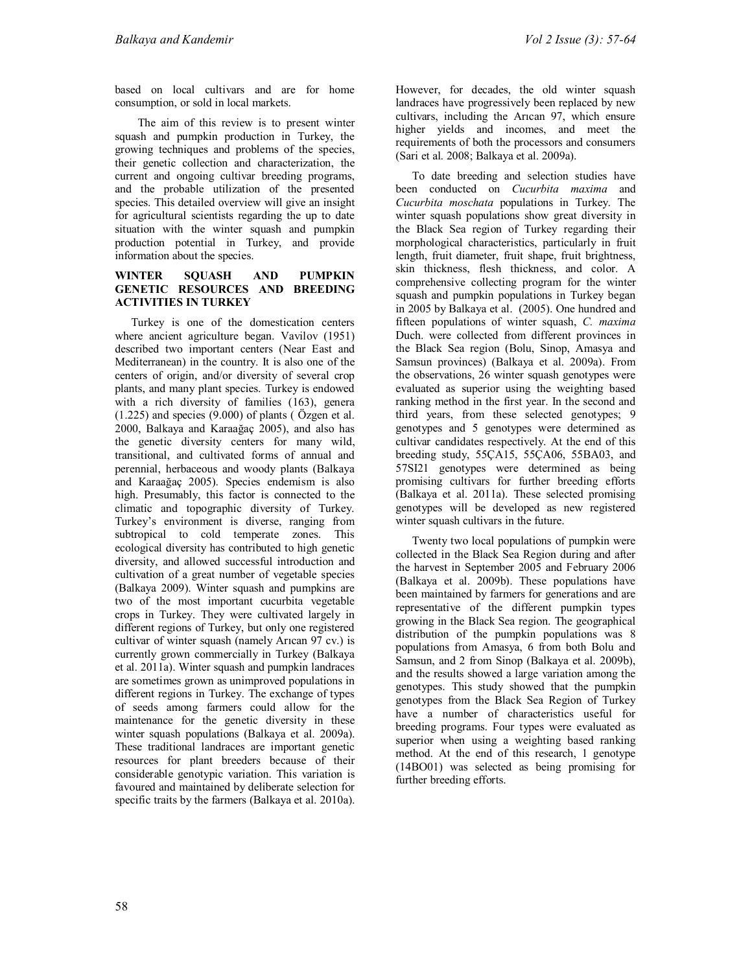based on local cultivars and are for home consumption, or sold in local markets.

The aim of this review is to present winter squash and pumpkin production in Turkey, the growing techniques and problems of the species, their genetic collection and characterization, the current and ongoing cultivar breeding programs, and the probable utilization of the presented species. This detailed overview will give an insight for agricultural scientists regarding the up to date situation with the winter squash and pumpkin production potential in Turkey, and provide information about the species.

#### **WINTER SQUASH AND PUMPKIN GENETIC RESOURCES AND BREEDING ACTIVITIES IN TURKEY**

Turkey is one of the domestication centers where ancient agriculture began. Vavilov (1951) described two important centers (Near East and Mediterranean) in the country. It is also one of the centers of origin, and/or diversity of several crop plants, and many plant species. Turkey is endowed with a rich diversity of families (163), genera  $(1.225)$  and species  $(9.000)$  of plants ( $\ddot{O}$ zgen et al. 2000, Balkaya and Karaağaç 2005), and also has the genetic diversity centers for many wild, transitional, and cultivated forms of annual and perennial, herbaceous and woody plants (Balkaya and Karaağaç 2005). Species endemism is also high. Presumably, this factor is connected to the climatic and topographic diversity of Turkey. Turkey's environment is diverse, ranging from subtropical to cold temperate zones. This ecological diversity has contributed to high genetic diversity, and allowed successful introduction and cultivation of a great number of vegetable species (Balkaya 2009). Winter squash and pumpkins are two of the most important cucurbita vegetable crops in Turkey. They were cultivated largely in different regions of Turkey, but only one registered cultivar of winter squash (namely Arıcan 97 cv.) is currently grown commercially in Turkey (Balkaya et al. 2011a). Winter squash and pumpkin landraces are sometimes grown as unimproved populations in different regions in Turkey. The exchange of types of seeds among farmers could allow for the maintenance for the genetic diversity in these winter squash populations (Balkaya et al. 2009a). These traditional landraces are important genetic resources for plant breeders because of their considerable genotypic variation. This variation is favoured and maintained by deliberate selection for specific traits by the farmers (Balkaya et al. 2010a).

However, for decades, the old winter squash landraces have progressively been replaced by new cultivars, including the Arıcan 97, which ensure higher yields and incomes, and meet the requirements of both the processors and consumers (Sari et al. 2008; Balkaya et al. 2009a).

To date breeding and selection studies have been conducted on *Cucurbita maxima* and *Cucurbita moschata* populations in Turkey. The winter squash populations show great diversity in the Black Sea region of Turkey regarding their morphological characteristics, particularly in fruit length, fruit diameter, fruit shape, fruit brightness, skin thickness, flesh thickness, and color. A comprehensive collecting program for the winter squash and pumpkin populations in Turkey began in 2005 by Balkaya et al. (2005). One hundred and fifteen populations of winter squash, *C. maxima* Duch. were collected from different provinces in the Black Sea region (Bolu, Sinop, Amasya and Samsun provinces) (Balkaya et al. 2009a). From the observations, 26 winter squash genotypes were evaluated as superior using the weighting based ranking method in the first year. In the second and third years, from these selected genotypes; 9 genotypes and 5 genotypes were determined as cultivar candidates respectively. At the end of this breeding study, 55ÇA15, 55ÇA06, 55BA03, and 57SI21 genotypes were determined as being promising cultivars for further breeding efforts (Balkaya et al. 2011a). These selected promising genotypes will be developed as new registered winter squash cultivars in the future.

Twenty two local populations of pumpkin were collected in the Black Sea Region during and after the harvest in September 2005 and February 2006 (Balkaya et al. 2009b). These populations have been maintained by farmers for generations and are representative of the different pumpkin types growing in the Black Sea region. The geographical distribution of the pumpkin populations was 8 populations from Amasya, 6 from both Bolu and Samsun, and 2 from Sinop (Balkaya et al. 2009b), and the results showed a large variation among the genotypes. This study showed that the pumpkin genotypes from the Black Sea Region of Turkey have a number of characteristics useful for breeding programs. Four types were evaluated as superior when using a weighting based ranking method. At the end of this research, 1 genotype (14BO01) was selected as being promising for further breeding efforts.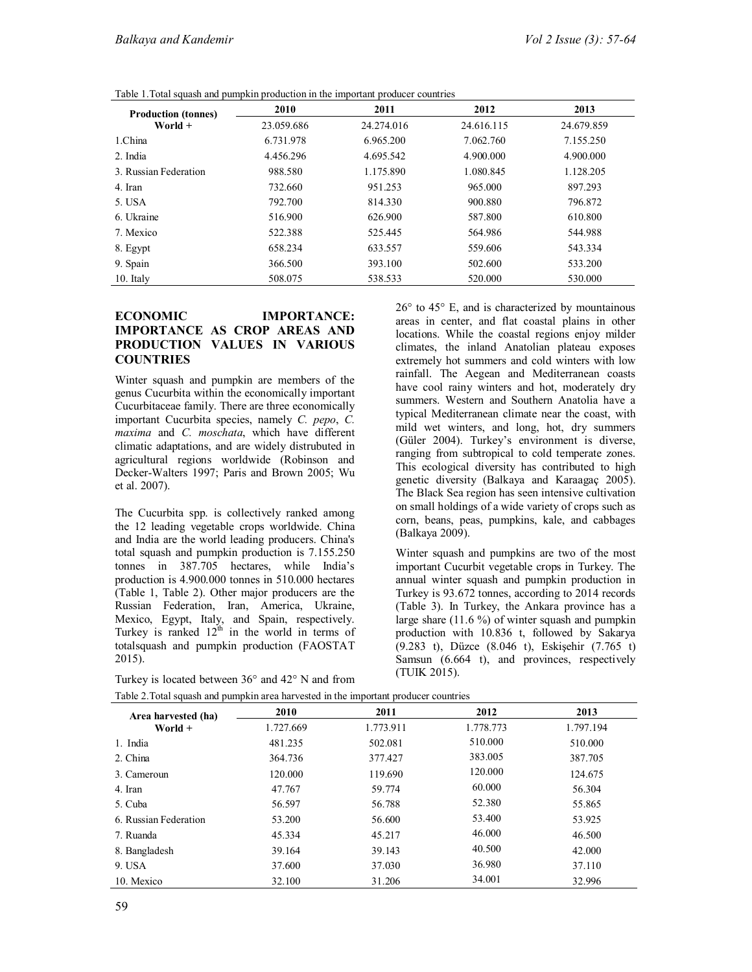| Table 1. Total squash and pumpkin production in the important producer countries |  |  |  |  |  |  |
|----------------------------------------------------------------------------------|--|--|--|--|--|--|
|----------------------------------------------------------------------------------|--|--|--|--|--|--|

| <b>Production (tonnes)</b> | 2010       | 2011       | 2012       | 2013       |
|----------------------------|------------|------------|------------|------------|
| World $+$                  | 23.059.686 | 24.274.016 | 24.616.115 | 24.679.859 |
| 1.China                    | 6.731.978  | 6.965.200  | 7.062.760  | 7.155.250  |
| 2. India                   | 4.456.296  | 4.695.542  | 4.900.000  | 4.900.000  |
| 3. Russian Federation      | 988.580    | 1.175.890  | 1.080.845  | 1.128.205  |
| 4. Iran                    | 732.660    | 951.253    | 965.000    | 897.293    |
| 5. USA                     | 792.700    | 814.330    | 900.880    | 796.872    |
| 6. Ukraine                 | 516.900    | 626.900    | 587.800    | 610.800    |
| 7. Mexico                  | 522.388    | 525.445    | 564.986    | 544.988    |
| 8. Egypt                   | 658.234    | 633.557    | 559.606    | 543.334    |
| 9. Spain                   | 366.500    | 393.100    | 502.600    | 533.200    |
| 10. Italy                  | 508.075    | 538.533    | 520,000    | 530.000    |

### **ECONOMIC IMPORTANCE: IMPORTANCE AS CROP AREAS AND PRODUCTION VALUES IN VARIOUS COUNTRIES**

Winter squash and pumpkin are members of the genus Cucurbita within the economically important Cucurbitaceae family. There are three economically important Cucurbita species, namely *C. pepo*, *C. maxima* and *C. moschata*, which have different climatic adaptations, and are widely distrubuted in agricultural regions worldwide (Robinson and Decker-Walters 1997; Paris and Brown 2005; Wu et al. 2007).

The Cucurbita spp. is collectively ranked among the 12 leading vegetable crops worldwide. China and India are the world leading producers. China's total squash and pumpkin production is 7.155.250 tonnes in 387.705 hectares, while India's production is 4.900.000 tonnes in 510.000 hectares (Table 1, Table 2). Other major producers are the Russian Federation, Iran, America, Ukraine, Mexico, Egypt, Italy, and Spain, respectively. Turkey is ranked  $12^{th}$  in the world in terms of totalsquash and pumpkin production (FAOSTAT 2015).

| Turkey is located between $36^{\circ}$ and $42^{\circ}$ N and from |  |  |  |  |  |  |  |
|--------------------------------------------------------------------|--|--|--|--|--|--|--|
|                                                                    |  |  |  |  |  |  |  |

 $26^{\circ}$  to  $45^{\circ}$  E, and is characterized by mountainous areas in center, and flat coastal plains in other locations. While the coastal regions enjoy milder climates, the inland Anatolian plateau exposes extremely hot summers and cold winters with low rainfall. The Aegean and Mediterranean coasts have cool rainy winters and hot, moderately dry summers. Western and Southern Anatolia have a typical Mediterranean climate near the coast, with mild wet winters, and long, hot, dry summers (Güler 2004). Turkey's environment is diverse, ranging from subtropical to cold temperate zones. This ecological diversity has contributed to high genetic diversity (Balkaya and Karaagaç 2005). The Black Sea region has seen intensive cultivation on small holdings of a wide variety of crops such as corn, beans, peas, pumpkins, kale, and cabbages (Balkaya 2009).

Winter squash and pumpkins are two of the most important Cucurbit vegetable crops in Turkey. The annual winter squash and pumpkin production in Turkey is 93.672 tonnes, according to 2014 records (Table 3). In Turkey, the Ankara province has a large share (11.6 %) of winter squash and pumpkin production with 10.836 t, followed by Sakarya (9.283 t), Düzce (8.046 t), Eskişehir (7.765 t) Samsun (6.664 t), and provinces, respectively (TUIK 2015).

| $-$ , $-$ , $-$ , $-$ , $-$ , $-$ , $-$ , $-$ , $-$ , $-$ , $-$ , $-$ , $-$ , $-$ , $-$ , $-$ , $-$ , $-$ , $-$ , $-$ , $-$ , $-$ , $-$ , $-$ , $-$ , $-$ , $-$ , $-$ , $-$ , $-$ , $-$ , $-$ , $-$ , $-$ , $-$ , $-$ , $-$ , |           |           |           |           |
|-------------------------------------------------------------------------------------------------------------------------------------------------------------------------------------------------------------------------------|-----------|-----------|-----------|-----------|
| Area harvested (ha)                                                                                                                                                                                                           | 2010      | 2011      | 2012      | 2013      |
| World +                                                                                                                                                                                                                       | 1.727.669 | 1.773.911 | 1.778.773 | 1.797.194 |
| 1. India                                                                                                                                                                                                                      | 481.235   | 502.081   | 510.000   | 510,000   |
| 2. China                                                                                                                                                                                                                      | 364.736   | 377.427   | 383.005   | 387.705   |
| 3. Cameroun                                                                                                                                                                                                                   | 120.000   | 119.690   | 120,000   | 124.675   |
| 4. Iran                                                                                                                                                                                                                       | 47.767    | 59.774    | 60.000    | 56.304    |
| 5. Cuba                                                                                                                                                                                                                       | 56.597    | 56.788    | 52.380    | 55.865    |
| 6. Russian Federation                                                                                                                                                                                                         | 53.200    | 56.600    | 53.400    | 53.925    |
| 7. Ruanda                                                                                                                                                                                                                     | 45.334    | 45.217    | 46,000    | 46.500    |
| 8. Bangladesh                                                                                                                                                                                                                 | 39.164    | 39.143    | 40.500    | 42.000    |
| 9. USA                                                                                                                                                                                                                        | 37.600    | 37.030    | 36.980    | 37.110    |
| 10. Mexico                                                                                                                                                                                                                    | 32.100    | 31.206    | 34.001    | 32.996    |

Table 2.Total squash and pumpkin area harvested in the important producer countries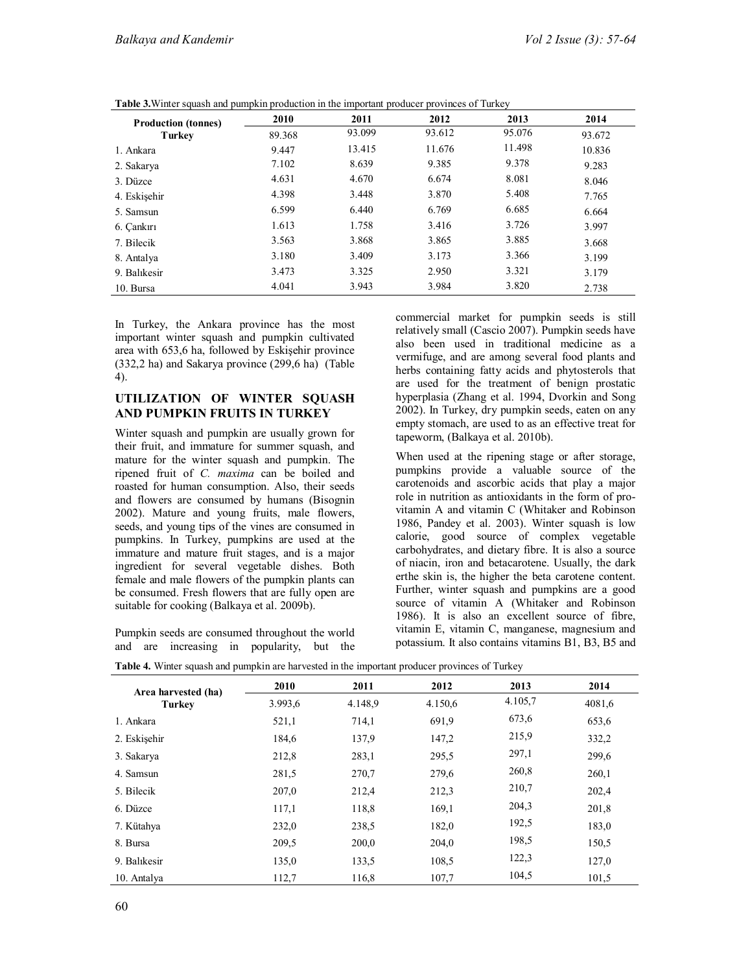|                                      | 2010   | 2011   | 2012   | 2013   | 2014   |
|--------------------------------------|--------|--------|--------|--------|--------|
| <b>Production (tonnes)</b><br>Turkey | 89.368 | 93.099 | 93.612 | 95.076 | 93.672 |
| 1. Ankara                            | 9.447  | 13.415 | 11.676 | 11.498 | 10.836 |
| 2. Sakarya                           | 7.102  | 8.639  | 9.385  | 9.378  | 9.283  |
| 3. Düzce                             | 4.631  | 4.670  | 6.674  | 8.081  | 8.046  |
| 4. Eskisehir                         | 4.398  | 3.448  | 3.870  | 5.408  | 7.765  |
| 5. Samsun                            | 6.599  | 6.440  | 6.769  | 6.685  | 6.664  |
| 6. Cankırı                           | 1.613  | 1.758  | 3.416  | 3.726  | 3.997  |
| 7. Bilecik                           | 3.563  | 3.868  | 3.865  | 3.885  | 3.668  |
| 8. Antalya                           | 3.180  | 3.409  | 3.173  | 3.366  | 3.199  |
| 9. Balıkesir                         | 3.473  | 3.325  | 2.950  | 3.321  | 3.179  |
| 10. Bursa                            | 4.041  | 3.943  | 3.984  | 3.820  | 2.738  |

**Table 3.**Winter squash and pumpkin production in the important producer provinces of Turkey

In Turkey, the Ankara province has the most important winter squash and pumpkin cultivated area with 653,6 ha, followed by Eskişehir province (332,2 ha) and Sakarya province (299,6 ha) (Table 4).

# **UTILIZATION OF WINTER SQUASH AND PUMPKIN FRUITS IN TURKEY**

Winter squash and pumpkin are usually grown for their fruit, and immature for summer squash, and mature for the winter squash and pumpkin. The ripened fruit of *C. maxima* can be boiled and roasted for human consumption. Also, their seeds and flowers are consumed by humans (Bisognin 2002). Mature and young fruits, male flowers, seeds, and young tips of the vines are consumed in pumpkins. In Turkey, pumpkins are used at the immature and mature fruit stages, and is a major ingredient for several vegetable dishes. Both female and male flowers of the pumpkin plants can be consumed. Fresh flowers that are fully open are suitable for cooking (Balkaya et al. 2009b).

Pumpkin seeds are consumed throughout the world and are increasing in popularity, but the

commercial market for pumpkin seeds is still relatively small (Cascio 2007). Pumpkin seeds have also been used in traditional medicine as a vermifuge, and are among several food plants and herbs containing fatty acids and phytosterols that are used for the treatment of benign prostatic hyperplasia (Zhang et al. 1994, Dvorkin and Song 2002). In Turkey, dry pumpkin seeds, eaten on any empty stomach, are used to as an effective treat for tapeworm, (Balkaya et al. 2010b).

When used at the ripening stage or after storage, pumpkins provide a valuable source of the carotenoids and ascorbic acids that play a major role in nutrition as antioxidants in the form of provitamin A and vitamin C (Whitaker and Robinson 1986, Pandey et al. 2003). Winter squash is low calorie, good source of complex vegetable carbohydrates, and dietary fibre. It is also a source of niacin, iron and betacarotene. Usually, the dark erthe skin is, the higher the beta carotene content. Further, winter squash and pumpkins are a good source of vitamin A (Whitaker and Robinson 1986). It is also an excellent source of fibre, vitamin E, vitamin C, manganese, magnesium and potassium. It also contains vitamins B1, B3, B5 and

| Area harvested (ha) | 2010    | 2011    | 2012    | 2013    | 2014   |
|---------------------|---------|---------|---------|---------|--------|
| Turkey              | 3.993,6 | 4.148.9 | 4.150,6 | 4.105,7 | 4081,6 |
| 1. Ankara           | 521,1   | 714,1   | 691,9   | 673.6   | 653,6  |
| 2. Eskisehir        | 184,6   | 137.9   | 147,2   | 215,9   | 332,2  |
| 3. Sakarya          | 212,8   | 283,1   | 295.5   | 297,1   | 299,6  |
| 4. Samsun           | 281,5   | 270.7   | 279,6   | 260,8   | 260,1  |
| 5. Bilecik          | 207,0   | 212,4   | 212,3   | 210,7   | 202,4  |
| 6. Düzce            | 117,1   | 118,8   | 169,1   | 204,3   | 201,8  |
| 7. Kütahya          | 232,0   | 238.5   | 182,0   | 192,5   | 183,0  |
| 8. Bursa            | 209,5   | 200,0   | 204,0   | 198.5   | 150,5  |
| 9. Balıkesir        | 135,0   | 133.5   | 108.5   | 122,3   | 127,0  |
| 10. Antalya         | 112,7   | 116,8   | 107,7   | 104,5   | 101,5  |

**Table 4.** Winter squash and pumpkin are harvested in the important producer provinces of Turkey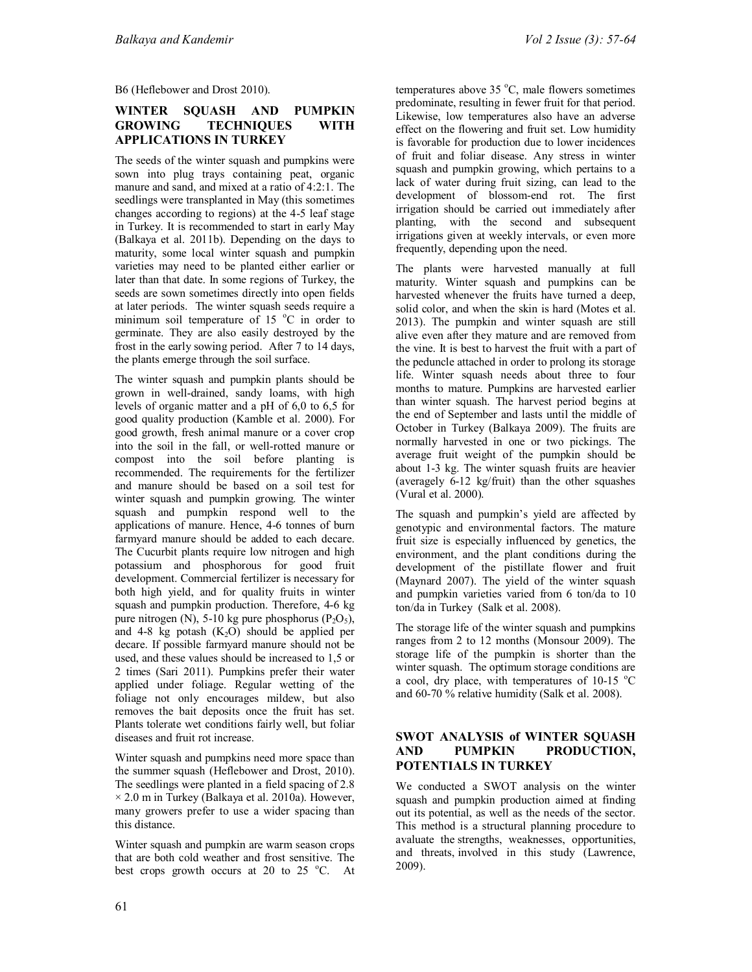B6 (Heflebower and Drost 2010).

## **WINTER SQUASH AND PUMPKIN GROWING TECHNIQUES WITH APPLICATIONS IN TURKEY**

The seeds of the winter squash and pumpkins were sown into plug trays containing peat, organic manure and sand, and mixed at a ratio of 4:2:1. The seedlings were transplanted in May (this sometimes changes according to regions) at the 4-5 leaf stage in Turkey. It is recommended to start in early May (Balkaya et al. 2011b). Depending on the days to maturity, some local winter squash and pumpkin varieties may need to be planted either earlier or later than that date. In some regions of Turkey, the seeds are sown sometimes directly into open fields at later periods. The winter squash seeds require a minimum soil temperature of 15  $^{\circ}$ C in order to germinate. They are also easily destroyed by the frost in the early sowing period. After 7 to 14 days, the plants emerge through the soil surface.

The winter squash and pumpkin plants should be grown in well-drained, sandy loams, with high levels of organic matter and a pH of 6,0 to 6,5 for good quality production (Kamble et al. 2000). For good growth, fresh animal manure or a cover crop into the soil in the fall, or well-rotted manure or compost into the soil before planting is recommended. The requirements for the fertilizer and manure should be based on a soil test for winter squash and pumpkin growing. The winter squash and pumpkin respond well to the applications of manure. Hence, 4-6 tonnes of burn farmyard manure should be added to each decare. The Cucurbit plants require low nitrogen and high potassium and phosphorous for good fruit development. Commercial fertilizer is necessary for both high yield, and for quality fruits in winter squash and pumpkin production. Therefore, 4-6 kg pure nitrogen (N), 5-10 kg pure phosphorus (P<sub>2</sub>O<sub>5</sub>), and 4-8 kg potash  $(K<sub>2</sub>O)$  should be applied per decare. If possible farmyard manure should not be used, and these values should be increased to 1,5 or 2 times (Sari 2011). Pumpkins prefer their water applied under foliage. Regular wetting of the foliage not only encourages mildew, but also removes the bait deposits once the fruit has set. Plants tolerate wet conditions fairly well, but foliar diseases and fruit rot increase.

Winter squash and pumpkins need more space than the summer squash (Heflebower and Drost, 2010). The seedlings were planted in a field spacing of 2.8  $\times$  2.0 m in Turkey (Balkaya et al. 2010a). However, many growers prefer to use a wider spacing than this distance.

Winter squash and pumpkin are warm season crops that are both cold weather and frost sensitive. The best crops growth occurs at 20 to 25  $^{\circ}$ C. At temperatures above  $35^{\circ}$ C, male flowers sometimes predominate, resulting in fewer fruit for that period. Likewise, low temperatures also have an adverse effect on the flowering and fruit set. Low humidity is favorable for production due to lower incidences of fruit and foliar disease. Any stress in winter squash and pumpkin growing, which pertains to a lack of water during fruit sizing, can lead to the development of blossom-end rot. The first irrigation should be carried out immediately after planting, with the second and subsequent irrigations given at weekly intervals, or even more frequently, depending upon the need.

The plants were harvested manually at full maturity. Winter squash and pumpkins can be harvested whenever the fruits have turned a deep, solid color, and when the skin is hard (Motes et al. 2013). The pumpkin and winter squash are still alive even after they mature and are removed from the vine. It is best to harvest the fruit with a part of the peduncle attached in order to prolong its storage life. Winter squash needs about three to four months to mature. Pumpkins are harvested earlier than winter squash. The harvest period begins at the end of September and lasts until the middle of October in Turkey (Balkaya 2009). The fruits are normally harvested in one or two pickings. The average fruit weight of the pumpkin should be about 1-3 kg. The winter squash fruits are heavier (averagely 6-12 kg/fruit) than the other squashes (Vural et al. 2000).

The squash and pumpkin's yield are affected by genotypic and environmental factors. The mature fruit size is especially influenced by genetics, the environment, and the plant conditions during the development of the pistillate flower and fruit (Maynard 2007). The yield of the winter squash and pumpkin varieties varied from 6 ton/da to 10 ton/da in Turkey (Salk et al. 2008).

The storage life of the winter squash and pumpkins ranges from 2 to 12 months (Monsour 2009). The storage life of the pumpkin is shorter than the winter squash. The optimum storage conditions are a cool, dry place, with temperatures of 10-15  $^{\circ}$ C and 60-70 % relative humidity (Salk et al. 2008).

#### **SWOT ANALYSIS of WINTER SQUASH AND PUMPKIN PRODUCTION, POTENTIALS IN TURKEY**

We conducted a SWOT analysis on the winter squash and pumpkin production aimed at finding out its potential, as well as the needs of the sector. This method is a structural planning procedure to avaluate the strengths, weaknesses, opportunities, and threats, involved in this study (Lawrence, 2009).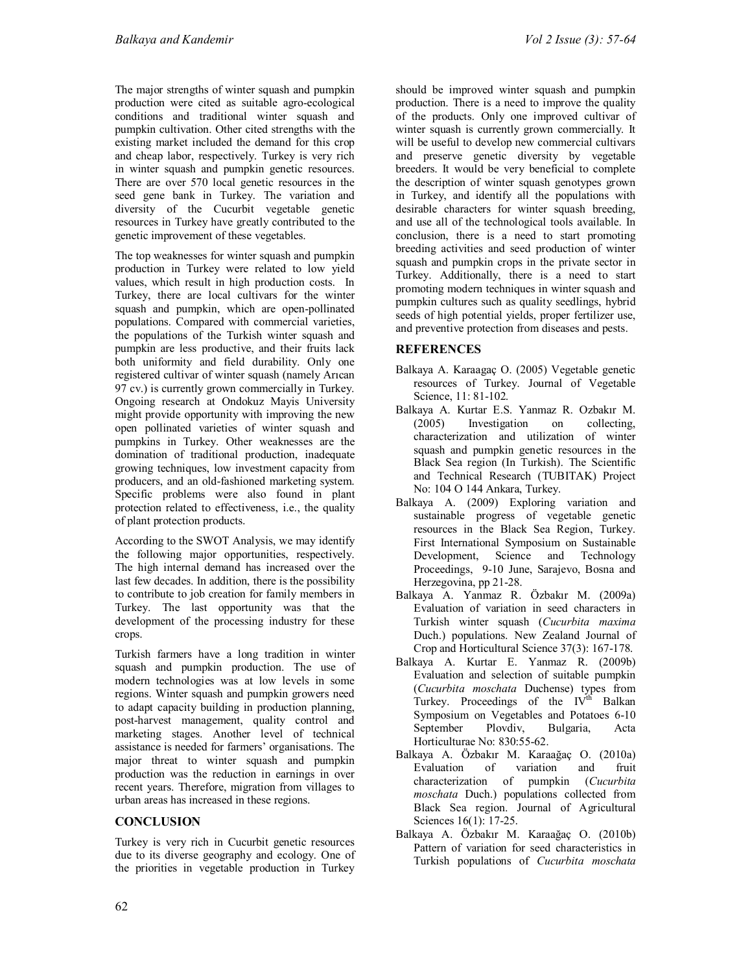The major strengths of winter squash and pumpkin production were cited as suitable agro-ecological conditions and traditional winter squash and pumpkin cultivation. Other cited strengths with the existing market included the demand for this crop and cheap labor, respectively. Turkey is very rich in winter squash and pumpkin genetic resources. There are over 570 local genetic resources in the seed gene bank in Turkey. The variation and diversity of the Cucurbit vegetable genetic resources in Turkey have greatly contributed to the genetic improvement of these vegetables.

The top weaknesses for winter squash and pumpkin production in Turkey were related to low yield values, which result in high production costs. In Turkey, there are local cultivars for the winter squash and pumpkin, which are open-pollinated populations. Compared with commercial varieties, the populations of the Turkish winter squash and pumpkin are less productive, and their fruits lack both uniformity and field durability. Only one registered cultivar of winter squash (namely Arıcan 97 cv.) is currently grown commercially in Turkey. Ongoing research at Ondokuz Mayis University might provide opportunity with improving the new open pollinated varieties of winter squash and pumpkins in Turkey. Other weaknesses are the domination of traditional production, inadequate growing techniques, low investment capacity from producers, and an old-fashioned marketing system. Specific problems were also found in plant protection related to effectiveness, i.e., the quality of plant protection products.

According to the SWOT Analysis, we may identify the following major opportunities, respectively. The high internal demand has increased over the last few decades. In addition, there is the possibility to contribute to job creation for family members in Turkey. The last opportunity was that the development of the processing industry for these crops.

Turkish farmers have a long tradition in winter squash and pumpkin production. The use of modern technologies was at low levels in some regions. Winter squash and pumpkin growers need to adapt capacity building in production planning, post-harvest management, quality control and marketing stages. Another level of technical assistance is needed for farmers' organisations. The major threat to winter squash and pumpkin production was the reduction in earnings in over recent years. Therefore, migration from villages to urban areas has increased in these regions.

# **CONCLUSION**

Turkey is very rich in Cucurbit genetic resources due to its diverse geography and ecology. One of the priorities in vegetable production in Turkey

should be improved winter squash and pumpkin production. There is a need to improve the quality of the products. Only one improved cultivar of winter squash is currently grown commercially. It will be useful to develop new commercial cultivars and preserve genetic diversity by vegetable breeders. It would be very beneficial to complete the description of winter squash genotypes grown in Turkey, and identify all the populations with desirable characters for winter squash breeding, and use all of the technological tools available. In conclusion, there is a need to start promoting breeding activities and seed production of winter squash and pumpkin crops in the private sector in Turkey. Additionally, there is a need to start promoting modern techniques in winter squash and pumpkin cultures such as quality seedlings, hybrid seeds of high potential yields, proper fertilizer use, and preventive protection from diseases and pests.

# **REFERENCES**

- Balkaya A. Karaagaç O. (2005) Vegetable genetic resources of Turkey. Journal of Vegetable Science, 11: 81-102.
- Balkaya A. Kurtar E.S. Yanmaz R. Ozbakır M. (2005) Investigation on collecting, characterization and utilization of winter squash and pumpkin genetic resources in the Black Sea region (In Turkish). The Scientific and Technical Research (TUBITAK) Project No: 104 O 144 Ankara, Turkey.
- Balkaya A. (2009) Exploring variation and sustainable progress of vegetable genetic resources in the Black Sea Region, Turkey. First International Symposium on Sustainable Development, Science and Technology Proceedings, 9-10 June, Sarajevo, Bosna and Herzegovina, pp 21-28.
- Balkaya A. Yanmaz R. Özbakır M. (2009a) Evaluation of variation in seed characters in Turkish winter squash (*Cucurbita maxima* Duch.) populations. New Zealand Journal of Crop and Horticultural Science 37(3): 167-178.
- Balkaya A. Kurtar E. Yanmaz R. (2009b) Evaluation and selection of suitable pumpkin (*Cucurbita moschata* Duchense) types from Turkey. Proceedings of the IV<sup>th</sup> Balkan Symposium on Vegetables and Potatoes 6-10 September Plovdiv, Bulgaria, Acta Horticulturae No: 830:55-62.
- Balkaya A. Özbakır M. Karaağaç O. (2010a) Evaluation characterization of pumpkin (*Cucurbita moschata* Duch.) populations collected from Black Sea region. Journal of Agricultural Sciences 16(1): 17-25.
- Balkaya A. Özbakır M. Karaağaç O. (2010b) Pattern of variation for seed characteristics in Turkish populations of *Cucurbita moschata*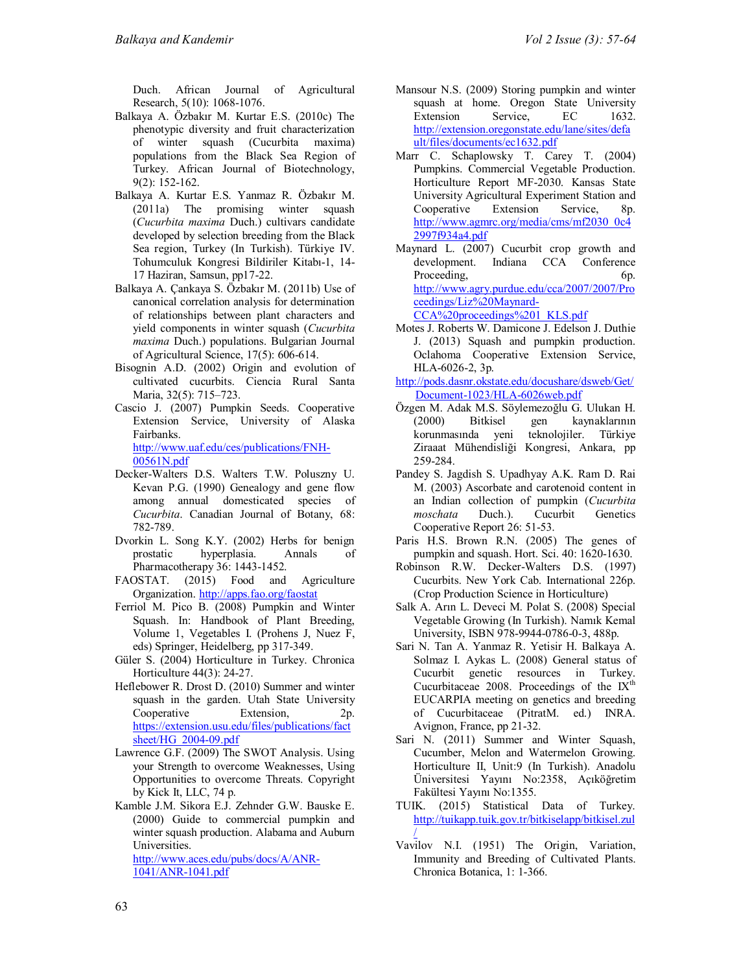Duch. African Journal of Agricultural Research, 5(10): 1068-1076.

- Balkaya A. Özbakır M. Kurtar E.S. (2010c) The phenotypic diversity and fruit characterization of winter squash (Cucurbita maxima) populations from the Black Sea Region of Turkey. African Journal of Biotechnology, 9(2): 152-162.
- Balkaya A. Kurtar E.S. Yanmaz R. Özbakır M. (2011a) The promising winter squash (*Cucurbita maxima* Duch.) cultivars candidate developed by selection breeding from the Black Sea region, Turkey (In Turkish). Türkiye IV. Tohumculuk Kongresi Bildiriler Kitabı-1, 14- 17 Haziran, Samsun, pp17-22.
- Balkaya A. Çankaya S. Özbakır M. (2011b) Use of canonical correlation analysis for determination of relationships between plant characters and yield components in winter squash (*Cucurbita maxima* Duch.) populations. Bulgarian Journal of Agricultural Science, 17(5): 606-614.
- Bisognin A.D. (2002) Origin and evolution of cultivated cucurbits. Ciencia Rural Santa Maria, 32(5): 715–723.
- Cascio J. (2007) Pumpkin Seeds. Cooperative Extension Service, University of Alaska Fairbanks. http://www.uaf.edu/ces/publications/FNH-00561N.pdf
- Decker-Walters D.S. Walters T.W. Poluszny U. Kevan P.G. (1990) Genealogy and gene flow among annual domesticated species of *Cucurbita*. Canadian Journal of Botany, 68: 782-789.
- Dvorkin L. Song K.Y. (2002) Herbs for benign prostatic hyperplasia. Annals of Pharmacotherapy 36: 1443-1452.
- FAOSTAT. (2015) Food and Agriculture Organization. http://apps.fao.org/faostat
- Ferriol M. Pico B. (2008) Pumpkin and Winter Squash. In: Handbook of Plant Breeding, Volume 1, Vegetables I. (Prohens J, Nuez F, eds) Springer, Heidelberg, pp 317-349.
- Güler S. (2004) Horticulture in Turkey. Chronica Horticulture 44(3): 24-27.
- Heflebower R. Drost D. (2010) Summer and winter squash in the garden. Utah State University Cooperative Extension, 2p. https://extension.usu.edu/files/publications/fact sheet/HG\_2004-09.pdf
- Lawrence G.F. (2009) The SWOT Analysis. Using your Strength to overcome Weaknesses, Using Opportunities to overcome Threats. Copyright by Kick It, LLC, 74 p.
- Kamble J.M. Sikora E.J. Zehnder G.W. Bauske E. (2000) Guide to commercial pumpkin and winter squash production. Alabama and Auburn Universities.

http://www.aces.edu/pubs/docs/A/ANR-1041/ANR-1041.pdf

- Mansour N.S. (2009) Storing pumpkin and winter squash at home. Oregon State University Extension Service, EC 1632. http://extension.oregonstate.edu/lane/sites/defa ult/files/documents/ec1632.pdf
- Marr C. Schaplowsky T. Carey T. (2004) Pumpkins. Commercial Vegetable Production. Horticulture Report MF-2030. Kansas State University Agricultural Experiment Station and<br>Cooperative Extension Service, 8p. Cooperative Extension Service, 8p. http://www.agmrc.org/media/cms/mf2030\_0c4 2997f934a4.pdf
- Maynard L. (2007) Cucurbit crop growth and development. Indiana CCA Conference Proceeding, 6p. http://www.agry.purdue.edu/cca/2007/2007/Pro ceedings/Liz%20Maynard-

CCA%20proceedings%201\_KLS.pdf

- Motes J. Roberts W. Damicone J. Edelson J. Duthie J. (2013) Squash and pumpkin production. Oclahoma Cooperative Extension Service, HLA-6026-2, 3p.
- http://pods.dasnr.okstate.edu/docushare/dsweb/Get/ Document-1023/HLA-6026web.pdf
- Özgen M. Adak M.S. Söylemezoğlu G. Ulukan H. (2000) Bitkisel gen kaynaklarının korunmasında yeni teknolojiler. Türkiye Ziraaat Mühendisliği Kongresi, Ankara, pp 259-284.
- Pandey S. Jagdish S. Upadhyay A.K. Ram D. Rai M. (2003) Ascorbate and carotenoid content in an Indian collection of pumpkin (*Cucurbita moschata* Duch.). Cucurbit Genetics Cooperative Report 26: 51-53.
- Paris H.S. Brown R.N. (2005) The genes of pumpkin and squash. Hort. Sci. 40: 1620-1630.
- Robinson R.W. Decker-Walters D.S. (1997) Cucurbits. New York Cab. International 226p. (Crop Production Science in Horticulture)
- Salk A. Arın L. Deveci M. Polat S. (2008) Special Vegetable Growing (In Turkish). Namık Kemal University, ISBN 978-9944-0786-0-3, 488p.
- Sari N. Tan A. Yanmaz R. Yetisir H. Balkaya A. Solmaz I. Aykas L. (2008) General status of Cucurbit genetic resources in Turkey. Cucurbitaceae 2008. Proceedings of the  $IX<sup>th</sup>$ EUCARPIA meeting on genetics and breeding of Cucurbitaceae (PitratM. ed.) INRA. Avignon, France, pp 21-32.
- Sari N. (2011) Summer and Winter Squash, Cucumber, Melon and Watermelon Growing. Horticulture II, Unit:9 (In Turkish). Anadolu Üniversitesi Yayını No:2358, Açıköğretim Fakültesi Yayını No:1355.
- TUIK. (2015) Statistical Data of Turkey. http://tuikapp.tuik.gov.tr/bitkiselapp/bitkisel.zul /
- Vavilov N.I. (1951) The Origin, Variation, Immunity and Breeding of Cultivated Plants. Chronica Botanica, 1: 1-366.